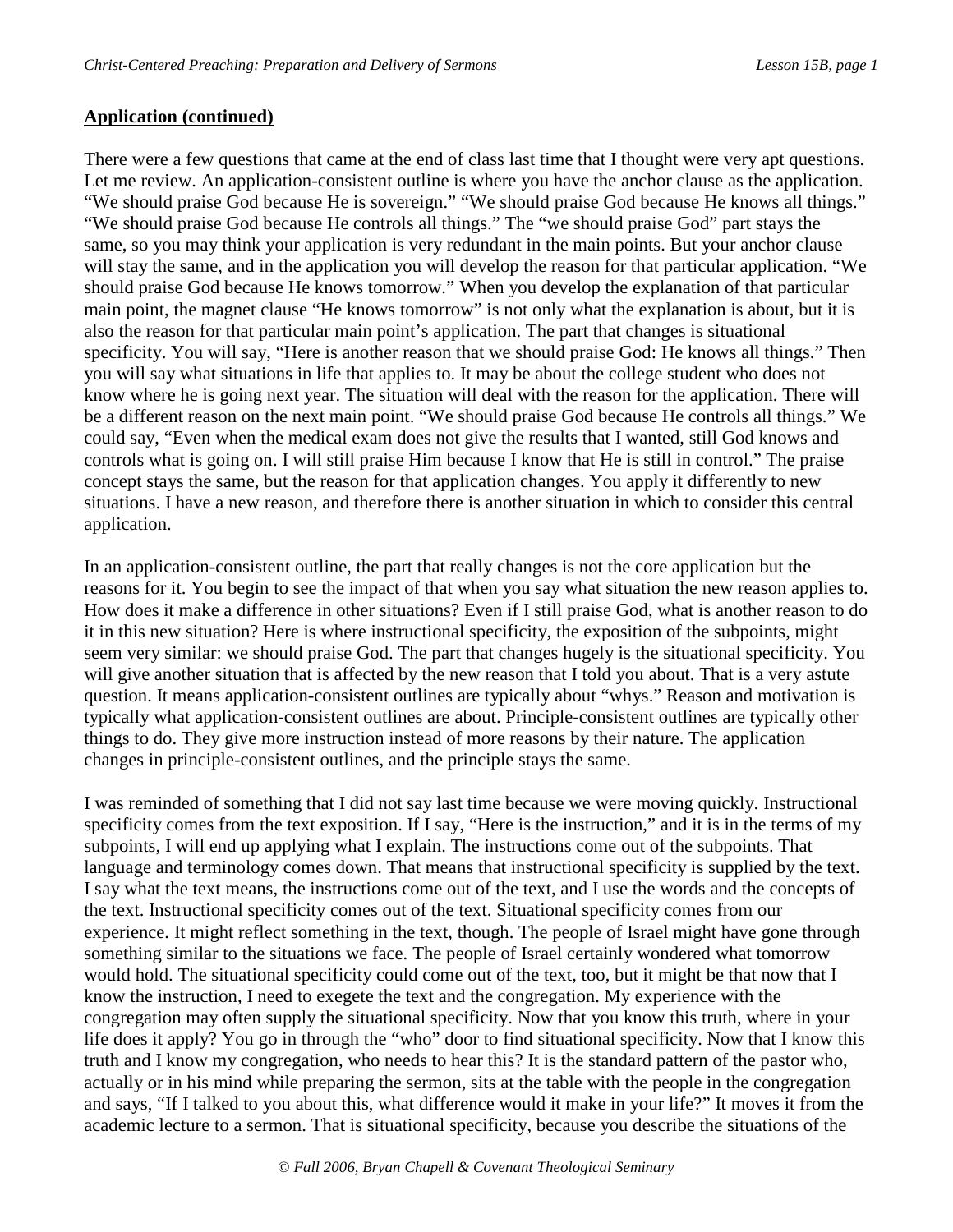# **Application (continued)**

There were a few questions that came at the end of class last time that I thought were very apt questions. Let me review. An application-consistent outline is where you have the anchor clause as the application. "We should praise God because He is sovereign." "We should praise God because He knows all things." "We should praise God because He controls all things." The "we should praise God" part stays the same, so you may think your application is very redundant in the main points. But your anchor clause will stay the same, and in the application you will develop the reason for that particular application. "We should praise God because He knows tomorrow." When you develop the explanation of that particular main point, the magnet clause "He knows tomorrow" is not only what the explanation is about, but it is also the reason for that particular main point's application. The part that changes is situational specificity. You will say, "Here is another reason that we should praise God: He knows all things." Then you will say what situations in life that applies to. It may be about the college student who does not know where he is going next year. The situation will deal with the reason for the application. There will be a different reason on the next main point. "We should praise God because He controls all things." We could say, "Even when the medical exam does not give the results that I wanted, still God knows and controls what is going on. I will still praise Him because I know that He is still in control." The praise concept stays the same, but the reason for that application changes. You apply it differently to new situations. I have a new reason, and therefore there is another situation in which to consider this central application.

In an application-consistent outline, the part that really changes is not the core application but the reasons for it. You begin to see the impact of that when you say what situation the new reason applies to. How does it make a difference in other situations? Even if I still praise God, what is another reason to do it in this new situation? Here is where instructional specificity, the exposition of the subpoints, might seem very similar: we should praise God. The part that changes hugely is the situational specificity. You will give another situation that is affected by the new reason that I told you about. That is a very astute question. It means application-consistent outlines are typically about "whys." Reason and motivation is typically what application-consistent outlines are about. Principle-consistent outlines are typically other things to do. They give more instruction instead of more reasons by their nature. The application changes in principle-consistent outlines, and the principle stays the same.

I was reminded of something that I did not say last time because we were moving quickly. Instructional specificity comes from the text exposition. If I say, "Here is the instruction," and it is in the terms of my subpoints, I will end up applying what I explain. The instructions come out of the subpoints. That language and terminology comes down. That means that instructional specificity is supplied by the text. I say what the text means, the instructions come out of the text, and I use the words and the concepts of the text. Instructional specificity comes out of the text. Situational specificity comes from our experience. It might reflect something in the text, though. The people of Israel might have gone through something similar to the situations we face. The people of Israel certainly wondered what tomorrow would hold. The situational specificity could come out of the text, too, but it might be that now that I know the instruction, I need to exegete the text and the congregation. My experience with the congregation may often supply the situational specificity. Now that you know this truth, where in your life does it apply? You go in through the "who" door to find situational specificity. Now that I know this truth and I know my congregation, who needs to hear this? It is the standard pattern of the pastor who, actually or in his mind while preparing the sermon, sits at the table with the people in the congregation and says, "If I talked to you about this, what difference would it make in your life?" It moves it from the academic lecture to a sermon. That is situational specificity, because you describe the situations of the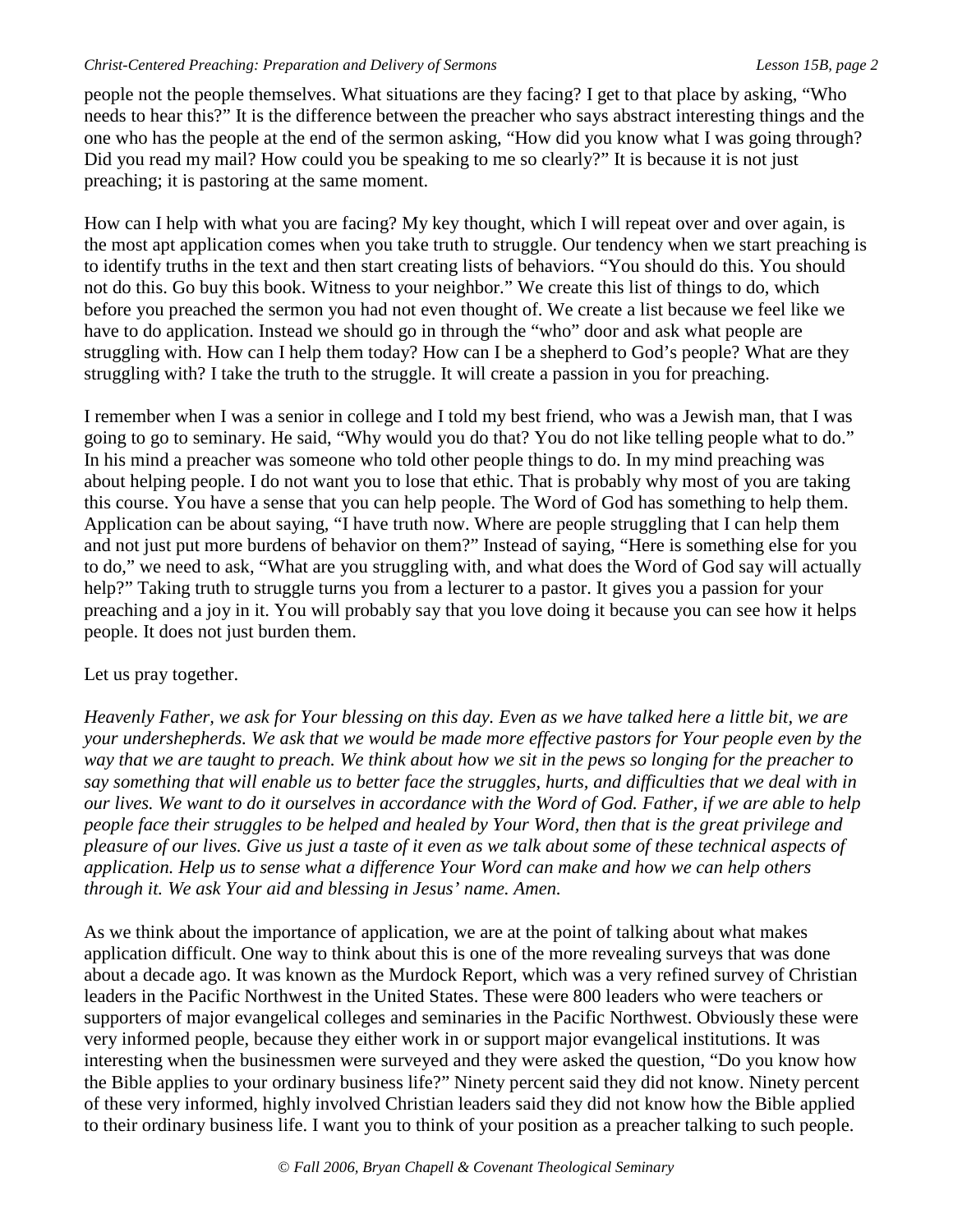people not the people themselves. What situations are they facing? I get to that place by asking, "Who needs to hear this?" It is the difference between the preacher who says abstract interesting things and the one who has the people at the end of the sermon asking, "How did you know what I was going through? Did you read my mail? How could you be speaking to me so clearly?" It is because it is not just preaching; it is pastoring at the same moment.

How can I help with what you are facing? My key thought, which I will repeat over and over again, is the most apt application comes when you take truth to struggle. Our tendency when we start preaching is to identify truths in the text and then start creating lists of behaviors. "You should do this. You should not do this. Go buy this book. Witness to your neighbor." We create this list of things to do, which before you preached the sermon you had not even thought of. We create a list because we feel like we have to do application. Instead we should go in through the "who" door and ask what people are struggling with. How can I help them today? How can I be a shepherd to God's people? What are they struggling with? I take the truth to the struggle. It will create a passion in you for preaching.

I remember when I was a senior in college and I told my best friend, who was a Jewish man, that I was going to go to seminary. He said, "Why would you do that? You do not like telling people what to do." In his mind a preacher was someone who told other people things to do. In my mind preaching was about helping people. I do not want you to lose that ethic. That is probably why most of you are taking this course. You have a sense that you can help people. The Word of God has something to help them. Application can be about saying, "I have truth now. Where are people struggling that I can help them and not just put more burdens of behavior on them?" Instead of saying, "Here is something else for you to do," we need to ask, "What are you struggling with, and what does the Word of God say will actually help?" Taking truth to struggle turns you from a lecturer to a pastor. It gives you a passion for your preaching and a joy in it. You will probably say that you love doing it because you can see how it helps people. It does not just burden them.

# Let us pray together.

*Heavenly Father, we ask for Your blessing on this day. Even as we have talked here a little bit, we are your undershepherds. We ask that we would be made more effective pastors for Your people even by the way that we are taught to preach. We think about how we sit in the pews so longing for the preacher to say something that will enable us to better face the struggles, hurts, and difficulties that we deal with in our lives. We want to do it ourselves in accordance with the Word of God. Father, if we are able to help people face their struggles to be helped and healed by Your Word, then that is the great privilege and pleasure of our lives. Give us just a taste of it even as we talk about some of these technical aspects of application. Help us to sense what a difference Your Word can make and how we can help others through it. We ask Your aid and blessing in Jesus' name. Amen.* 

As we think about the importance of application, we are at the point of talking about what makes application difficult. One way to think about this is one of the more revealing surveys that was done about a decade ago. It was known as the Murdock Report, which was a very refined survey of Christian leaders in the Pacific Northwest in the United States. These were 800 leaders who were teachers or supporters of major evangelical colleges and seminaries in the Pacific Northwest. Obviously these were very informed people, because they either work in or support major evangelical institutions. It was interesting when the businessmen were surveyed and they were asked the question, "Do you know how the Bible applies to your ordinary business life?" Ninety percent said they did not know. Ninety percent of these very informed, highly involved Christian leaders said they did not know how the Bible applied to their ordinary business life. I want you to think of your position as a preacher talking to such people.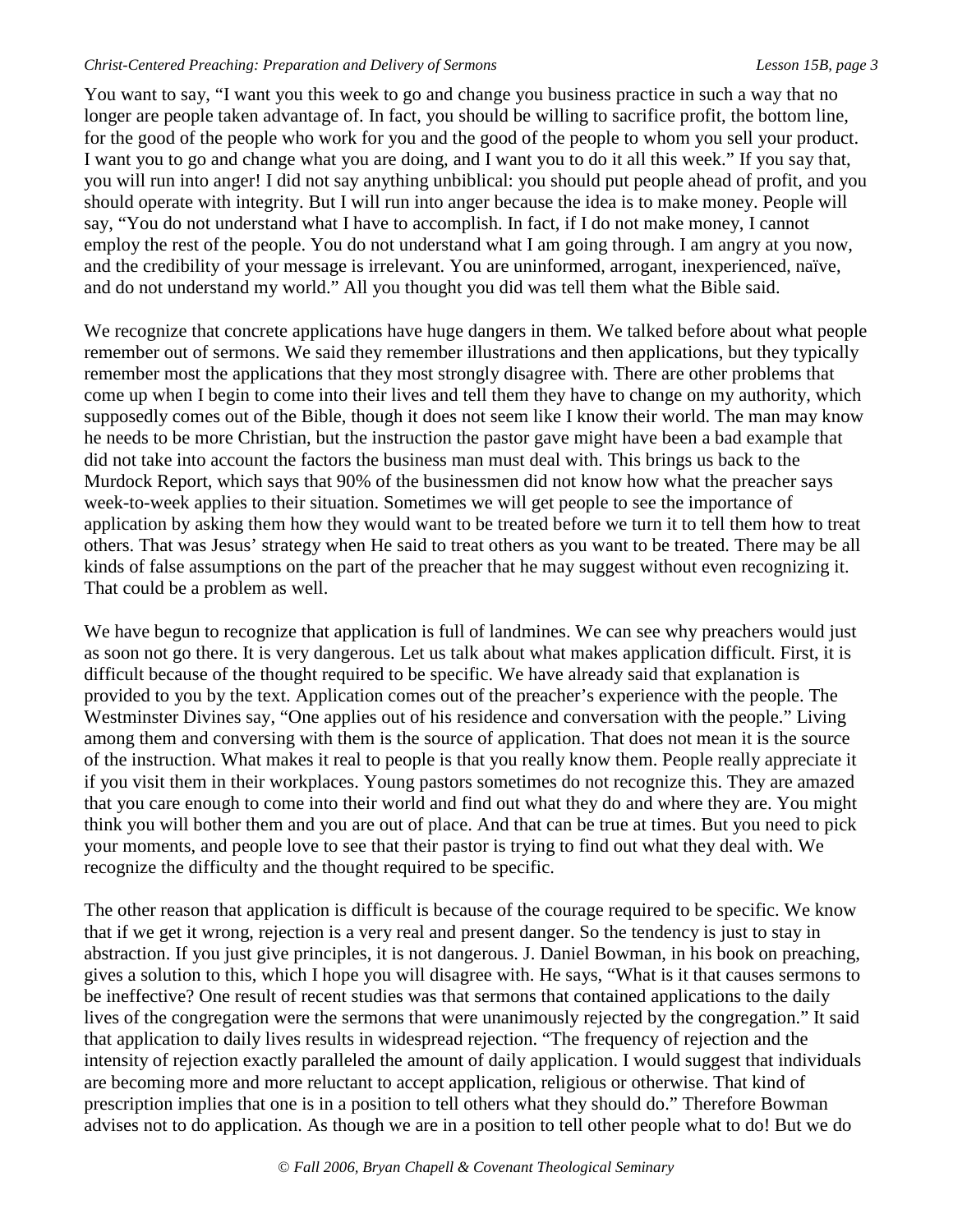You want to say, "I want you this week to go and change you business practice in such a way that no longer are people taken advantage of. In fact, you should be willing to sacrifice profit, the bottom line, for the good of the people who work for you and the good of the people to whom you sell your product. I want you to go and change what you are doing, and I want you to do it all this week." If you say that, you will run into anger! I did not say anything unbiblical: you should put people ahead of profit, and you should operate with integrity. But I will run into anger because the idea is to make money. People will say, "You do not understand what I have to accomplish. In fact, if I do not make money, I cannot employ the rest of the people. You do not understand what I am going through. I am angry at you now, and the credibility of your message is irrelevant. You are uninformed, arrogant, inexperienced, naïve, and do not understand my world." All you thought you did was tell them what the Bible said.

We recognize that concrete applications have huge dangers in them. We talked before about what people remember out of sermons. We said they remember illustrations and then applications, but they typically remember most the applications that they most strongly disagree with. There are other problems that come up when I begin to come into their lives and tell them they have to change on my authority, which supposedly comes out of the Bible, though it does not seem like I know their world. The man may know he needs to be more Christian, but the instruction the pastor gave might have been a bad example that did not take into account the factors the business man must deal with. This brings us back to the Murdock Report, which says that 90% of the businessmen did not know how what the preacher says week-to-week applies to their situation. Sometimes we will get people to see the importance of application by asking them how they would want to be treated before we turn it to tell them how to treat others. That was Jesus' strategy when He said to treat others as you want to be treated. There may be all kinds of false assumptions on the part of the preacher that he may suggest without even recognizing it. That could be a problem as well.

We have begun to recognize that application is full of landmines. We can see why preachers would just as soon not go there. It is very dangerous. Let us talk about what makes application difficult. First, it is difficult because of the thought required to be specific. We have already said that explanation is provided to you by the text. Application comes out of the preacher's experience with the people. The Westminster Divines say, "One applies out of his residence and conversation with the people." Living among them and conversing with them is the source of application. That does not mean it is the source of the instruction. What makes it real to people is that you really know them. People really appreciate it if you visit them in their workplaces. Young pastors sometimes do not recognize this. They are amazed that you care enough to come into their world and find out what they do and where they are. You might think you will bother them and you are out of place. And that can be true at times. But you need to pick your moments, and people love to see that their pastor is trying to find out what they deal with. We recognize the difficulty and the thought required to be specific.

The other reason that application is difficult is because of the courage required to be specific. We know that if we get it wrong, rejection is a very real and present danger. So the tendency is just to stay in abstraction. If you just give principles, it is not dangerous. J. Daniel Bowman, in his book on preaching, gives a solution to this, which I hope you will disagree with. He says, "What is it that causes sermons to be ineffective? One result of recent studies was that sermons that contained applications to the daily lives of the congregation were the sermons that were unanimously rejected by the congregation." It said that application to daily lives results in widespread rejection. "The frequency of rejection and the intensity of rejection exactly paralleled the amount of daily application. I would suggest that individuals are becoming more and more reluctant to accept application, religious or otherwise. That kind of prescription implies that one is in a position to tell others what they should do." Therefore Bowman advises not to do application. As though we are in a position to tell other people what to do! But we do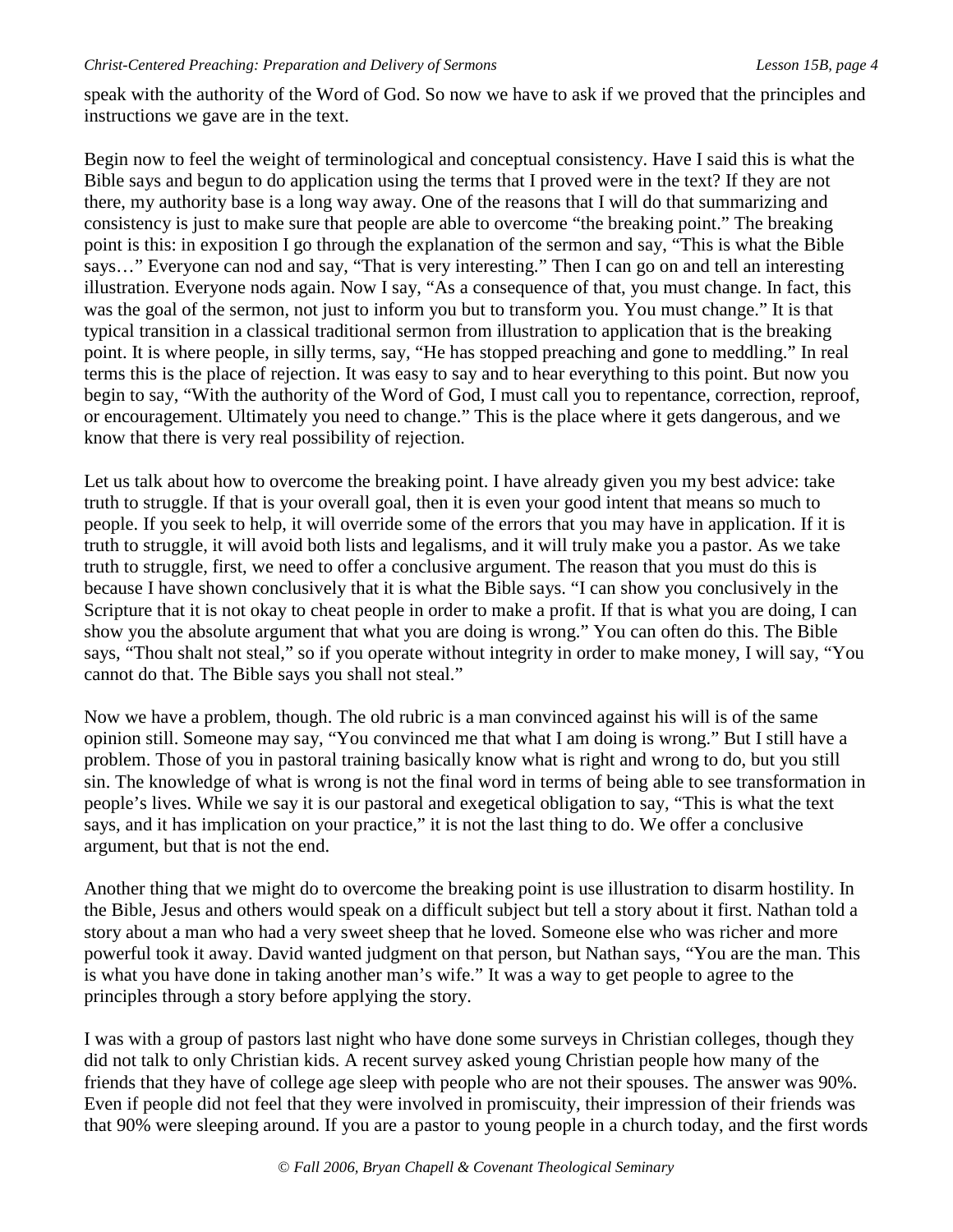speak with the authority of the Word of God. So now we have to ask if we proved that the principles and instructions we gave are in the text.

Begin now to feel the weight of terminological and conceptual consistency. Have I said this is what the Bible says and begun to do application using the terms that I proved were in the text? If they are not there, my authority base is a long way away. One of the reasons that I will do that summarizing and consistency is just to make sure that people are able to overcome "the breaking point." The breaking point is this: in exposition I go through the explanation of the sermon and say, "This is what the Bible says…" Everyone can nod and say, "That is very interesting." Then I can go on and tell an interesting illustration. Everyone nods again. Now I say, "As a consequence of that, you must change. In fact, this was the goal of the sermon, not just to inform you but to transform you. You must change." It is that typical transition in a classical traditional sermon from illustration to application that is the breaking point. It is where people, in silly terms, say, "He has stopped preaching and gone to meddling." In real terms this is the place of rejection. It was easy to say and to hear everything to this point. But now you begin to say, "With the authority of the Word of God, I must call you to repentance, correction, reproof, or encouragement. Ultimately you need to change." This is the place where it gets dangerous, and we know that there is very real possibility of rejection.

Let us talk about how to overcome the breaking point. I have already given you my best advice: take truth to struggle. If that is your overall goal, then it is even your good intent that means so much to people. If you seek to help, it will override some of the errors that you may have in application. If it is truth to struggle, it will avoid both lists and legalisms, and it will truly make you a pastor. As we take truth to struggle, first, we need to offer a conclusive argument. The reason that you must do this is because I have shown conclusively that it is what the Bible says. "I can show you conclusively in the Scripture that it is not okay to cheat people in order to make a profit. If that is what you are doing, I can show you the absolute argument that what you are doing is wrong." You can often do this. The Bible says, "Thou shalt not steal," so if you operate without integrity in order to make money, I will say, "You cannot do that. The Bible says you shall not steal."

Now we have a problem, though. The old rubric is a man convinced against his will is of the same opinion still. Someone may say, "You convinced me that what I am doing is wrong." But I still have a problem. Those of you in pastoral training basically know what is right and wrong to do, but you still sin. The knowledge of what is wrong is not the final word in terms of being able to see transformation in people's lives. While we say it is our pastoral and exegetical obligation to say, "This is what the text says, and it has implication on your practice," it is not the last thing to do. We offer a conclusive argument, but that is not the end.

Another thing that we might do to overcome the breaking point is use illustration to disarm hostility. In the Bible, Jesus and others would speak on a difficult subject but tell a story about it first. Nathan told a story about a man who had a very sweet sheep that he loved. Someone else who was richer and more powerful took it away. David wanted judgment on that person, but Nathan says, "You are the man. This is what you have done in taking another man's wife." It was a way to get people to agree to the principles through a story before applying the story.

I was with a group of pastors last night who have done some surveys in Christian colleges, though they did not talk to only Christian kids. A recent survey asked young Christian people how many of the friends that they have of college age sleep with people who are not their spouses. The answer was 90%. Even if people did not feel that they were involved in promiscuity, their impression of their friends was that 90% were sleeping around. If you are a pastor to young people in a church today, and the first words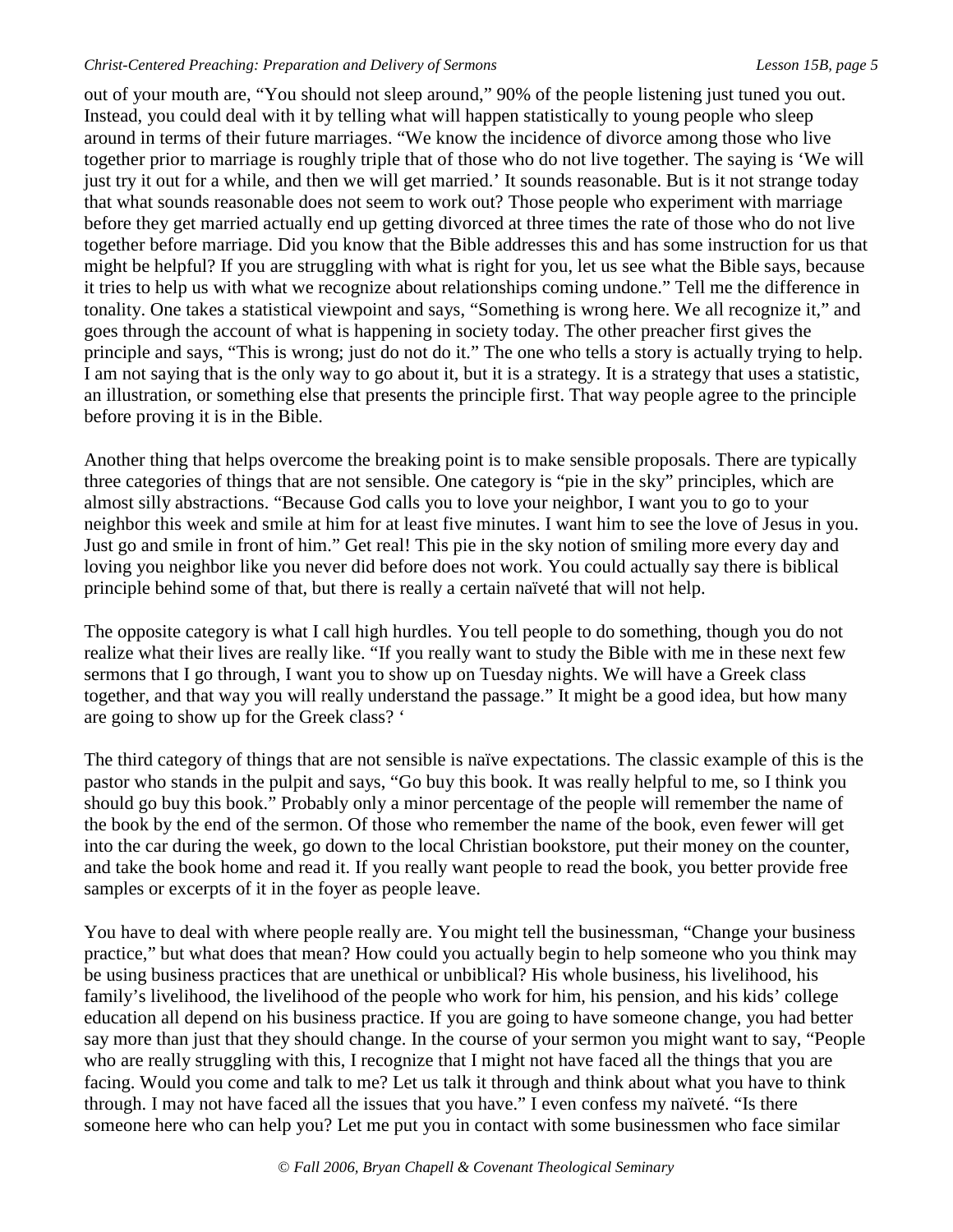out of your mouth are, "You should not sleep around," 90% of the people listening just tuned you out. Instead, you could deal with it by telling what will happen statistically to young people who sleep around in terms of their future marriages. "We know the incidence of divorce among those who live together prior to marriage is roughly triple that of those who do not live together. The saying is 'We will just try it out for a while, and then we will get married.' It sounds reasonable. But is it not strange today that what sounds reasonable does not seem to work out? Those people who experiment with marriage before they get married actually end up getting divorced at three times the rate of those who do not live together before marriage. Did you know that the Bible addresses this and has some instruction for us that might be helpful? If you are struggling with what is right for you, let us see what the Bible says, because it tries to help us with what we recognize about relationships coming undone." Tell me the difference in tonality. One takes a statistical viewpoint and says, "Something is wrong here. We all recognize it," and goes through the account of what is happening in society today. The other preacher first gives the principle and says, "This is wrong; just do not do it." The one who tells a story is actually trying to help. I am not saying that is the only way to go about it, but it is a strategy. It is a strategy that uses a statistic, an illustration, or something else that presents the principle first. That way people agree to the principle before proving it is in the Bible.

Another thing that helps overcome the breaking point is to make sensible proposals. There are typically three categories of things that are not sensible. One category is "pie in the sky" principles, which are almost silly abstractions. "Because God calls you to love your neighbor, I want you to go to your neighbor this week and smile at him for at least five minutes. I want him to see the love of Jesus in you. Just go and smile in front of him." Get real! This pie in the sky notion of smiling more every day and loving you neighbor like you never did before does not work. You could actually say there is biblical principle behind some of that, but there is really a certain naïveté that will not help.

The opposite category is what I call high hurdles. You tell people to do something, though you do not realize what their lives are really like. "If you really want to study the Bible with me in these next few sermons that I go through, I want you to show up on Tuesday nights. We will have a Greek class together, and that way you will really understand the passage." It might be a good idea, but how many are going to show up for the Greek class? '

The third category of things that are not sensible is naïve expectations. The classic example of this is the pastor who stands in the pulpit and says, "Go buy this book. It was really helpful to me, so I think you should go buy this book." Probably only a minor percentage of the people will remember the name of the book by the end of the sermon. Of those who remember the name of the book, even fewer will get into the car during the week, go down to the local Christian bookstore, put their money on the counter, and take the book home and read it. If you really want people to read the book, you better provide free samples or excerpts of it in the foyer as people leave.

You have to deal with where people really are. You might tell the businessman, "Change your business practice," but what does that mean? How could you actually begin to help someone who you think may be using business practices that are unethical or unbiblical? His whole business, his livelihood, his family's livelihood, the livelihood of the people who work for him, his pension, and his kids' college education all depend on his business practice. If you are going to have someone change, you had better say more than just that they should change. In the course of your sermon you might want to say, "People who are really struggling with this, I recognize that I might not have faced all the things that you are facing. Would you come and talk to me? Let us talk it through and think about what you have to think through. I may not have faced all the issues that you have." I even confess my naïveté. "Is there someone here who can help you? Let me put you in contact with some businessmen who face similar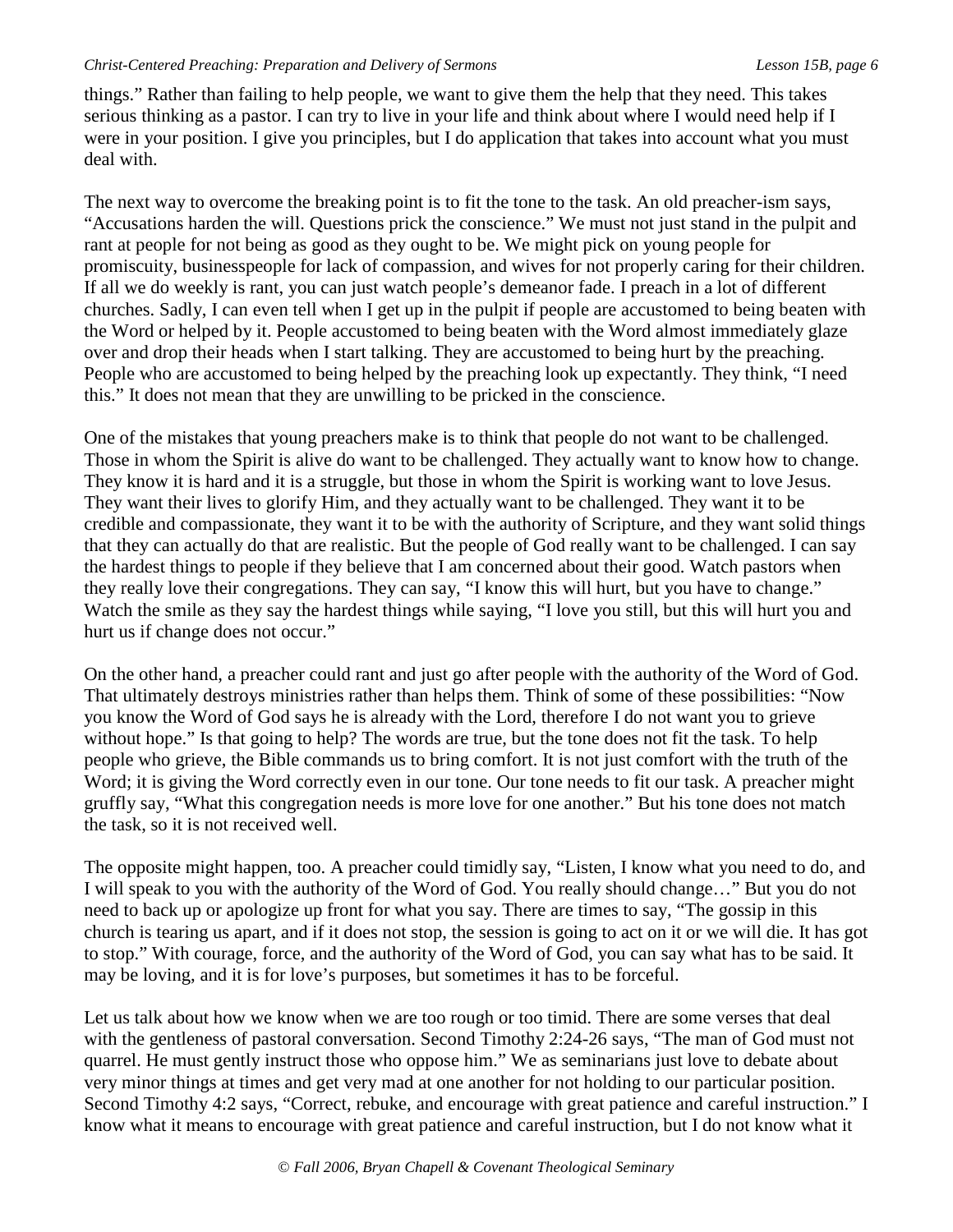things." Rather than failing to help people, we want to give them the help that they need. This takes serious thinking as a pastor. I can try to live in your life and think about where I would need help if I were in your position. I give you principles, but I do application that takes into account what you must deal with.

The next way to overcome the breaking point is to fit the tone to the task. An old preacher-ism says, "Accusations harden the will. Questions prick the conscience." We must not just stand in the pulpit and rant at people for not being as good as they ought to be. We might pick on young people for promiscuity, businesspeople for lack of compassion, and wives for not properly caring for their children. If all we do weekly is rant, you can just watch people's demeanor fade. I preach in a lot of different churches. Sadly, I can even tell when I get up in the pulpit if people are accustomed to being beaten with the Word or helped by it. People accustomed to being beaten with the Word almost immediately glaze over and drop their heads when I start talking. They are accustomed to being hurt by the preaching. People who are accustomed to being helped by the preaching look up expectantly. They think, "I need this." It does not mean that they are unwilling to be pricked in the conscience.

One of the mistakes that young preachers make is to think that people do not want to be challenged. Those in whom the Spirit is alive do want to be challenged. They actually want to know how to change. They know it is hard and it is a struggle, but those in whom the Spirit is working want to love Jesus. They want their lives to glorify Him, and they actually want to be challenged. They want it to be credible and compassionate, they want it to be with the authority of Scripture, and they want solid things that they can actually do that are realistic. But the people of God really want to be challenged. I can say the hardest things to people if they believe that I am concerned about their good. Watch pastors when they really love their congregations. They can say, "I know this will hurt, but you have to change." Watch the smile as they say the hardest things while saying, "I love you still, but this will hurt you and hurt us if change does not occur."

On the other hand, a preacher could rant and just go after people with the authority of the Word of God. That ultimately destroys ministries rather than helps them. Think of some of these possibilities: "Now you know the Word of God says he is already with the Lord, therefore I do not want you to grieve without hope." Is that going to help? The words are true, but the tone does not fit the task. To help people who grieve, the Bible commands us to bring comfort. It is not just comfort with the truth of the Word; it is giving the Word correctly even in our tone. Our tone needs to fit our task. A preacher might gruffly say, "What this congregation needs is more love for one another." But his tone does not match the task, so it is not received well.

The opposite might happen, too. A preacher could timidly say, "Listen, I know what you need to do, and I will speak to you with the authority of the Word of God. You really should change…" But you do not need to back up or apologize up front for what you say. There are times to say, "The gossip in this church is tearing us apart, and if it does not stop, the session is going to act on it or we will die. It has got to stop." With courage, force, and the authority of the Word of God, you can say what has to be said. It may be loving, and it is for love's purposes, but sometimes it has to be forceful.

Let us talk about how we know when we are too rough or too timid. There are some verses that deal with the gentleness of pastoral conversation. Second Timothy 2:24-26 says, "The man of God must not quarrel. He must gently instruct those who oppose him." We as seminarians just love to debate about very minor things at times and get very mad at one another for not holding to our particular position. Second Timothy 4:2 says, "Correct, rebuke, and encourage with great patience and careful instruction." I know what it means to encourage with great patience and careful instruction, but I do not know what it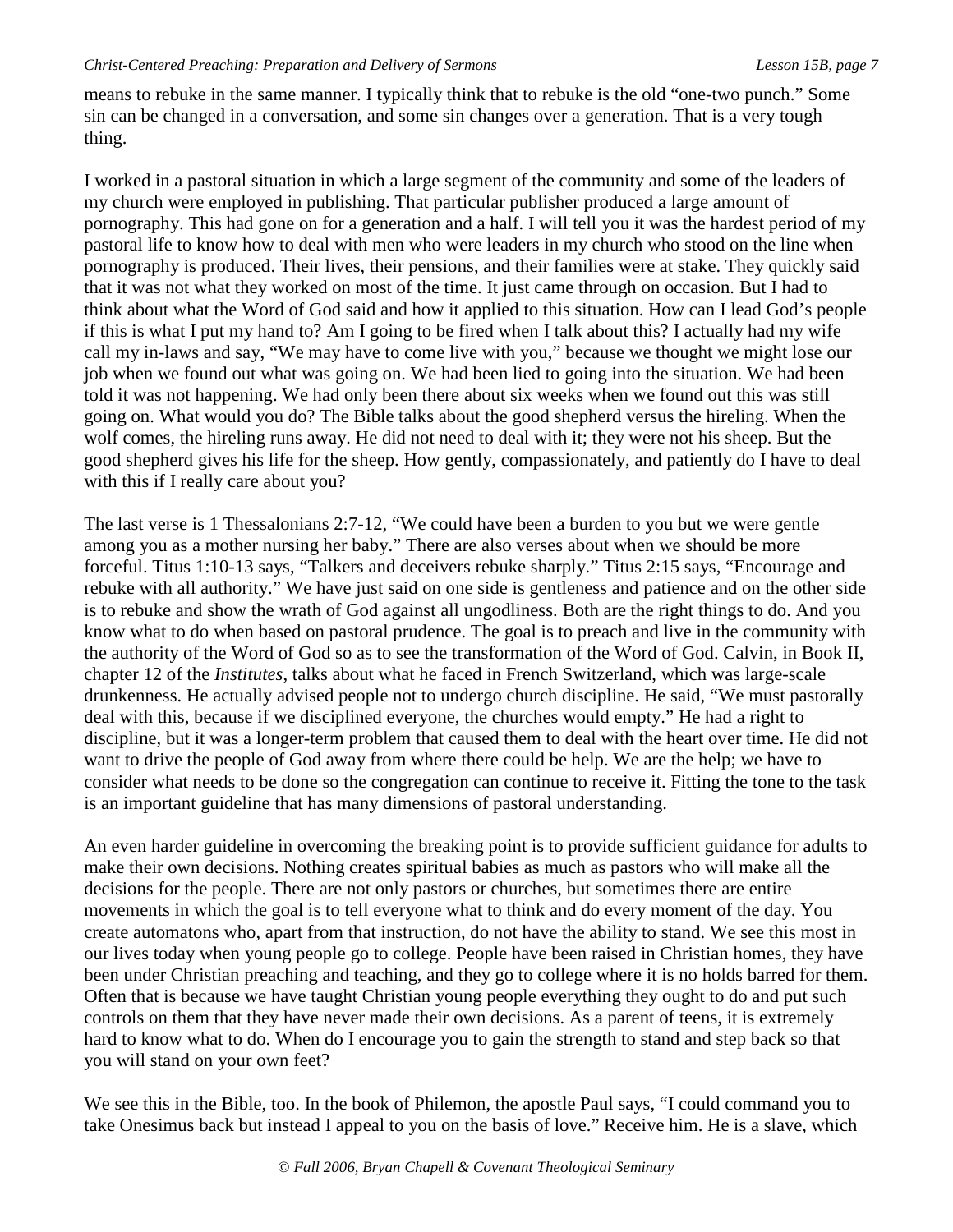means to rebuke in the same manner. I typically think that to rebuke is the old "one-two punch." Some sin can be changed in a conversation, and some sin changes over a generation. That is a very tough thing.

I worked in a pastoral situation in which a large segment of the community and some of the leaders of my church were employed in publishing. That particular publisher produced a large amount of pornography. This had gone on for a generation and a half. I will tell you it was the hardest period of my pastoral life to know how to deal with men who were leaders in my church who stood on the line when pornography is produced. Their lives, their pensions, and their families were at stake. They quickly said that it was not what they worked on most of the time. It just came through on occasion. But I had to think about what the Word of God said and how it applied to this situation. How can I lead God's people if this is what I put my hand to? Am I going to be fired when I talk about this? I actually had my wife call my in-laws and say, "We may have to come live with you," because we thought we might lose our job when we found out what was going on. We had been lied to going into the situation. We had been told it was not happening. We had only been there about six weeks when we found out this was still going on. What would you do? The Bible talks about the good shepherd versus the hireling. When the wolf comes, the hireling runs away. He did not need to deal with it; they were not his sheep. But the good shepherd gives his life for the sheep. How gently, compassionately, and patiently do I have to deal with this if I really care about you?

The last verse is 1 Thessalonians 2:7-12, "We could have been a burden to you but we were gentle among you as a mother nursing her baby." There are also verses about when we should be more forceful. Titus 1:10-13 says, "Talkers and deceivers rebuke sharply." Titus 2:15 says, "Encourage and rebuke with all authority." We have just said on one side is gentleness and patience and on the other side is to rebuke and show the wrath of God against all ungodliness. Both are the right things to do. And you know what to do when based on pastoral prudence. The goal is to preach and live in the community with the authority of the Word of God so as to see the transformation of the Word of God. Calvin, in Book II, chapter 12 of the *Institutes*, talks about what he faced in French Switzerland, which was large-scale drunkenness. He actually advised people not to undergo church discipline. He said, "We must pastorally deal with this, because if we disciplined everyone, the churches would empty." He had a right to discipline, but it was a longer-term problem that caused them to deal with the heart over time. He did not want to drive the people of God away from where there could be help. We are the help; we have to consider what needs to be done so the congregation can continue to receive it. Fitting the tone to the task is an important guideline that has many dimensions of pastoral understanding.

An even harder guideline in overcoming the breaking point is to provide sufficient guidance for adults to make their own decisions. Nothing creates spiritual babies as much as pastors who will make all the decisions for the people. There are not only pastors or churches, but sometimes there are entire movements in which the goal is to tell everyone what to think and do every moment of the day. You create automatons who, apart from that instruction, do not have the ability to stand. We see this most in our lives today when young people go to college. People have been raised in Christian homes, they have been under Christian preaching and teaching, and they go to college where it is no holds barred for them. Often that is because we have taught Christian young people everything they ought to do and put such controls on them that they have never made their own decisions. As a parent of teens, it is extremely hard to know what to do. When do I encourage you to gain the strength to stand and step back so that you will stand on your own feet?

We see this in the Bible, too. In the book of Philemon, the apostle Paul says, "I could command you to take Onesimus back but instead I appeal to you on the basis of love." Receive him. He is a slave, which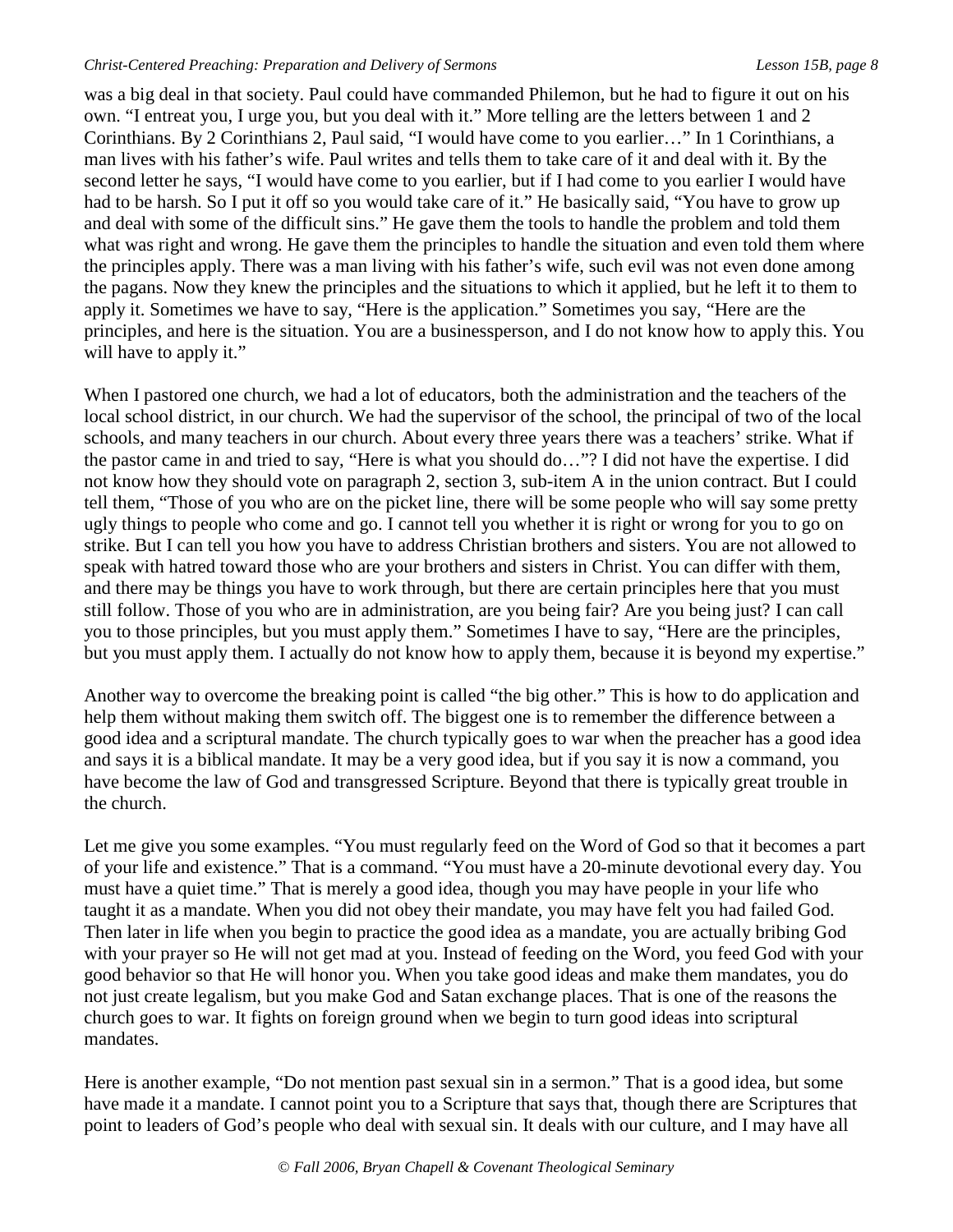was a big deal in that society. Paul could have commanded Philemon, but he had to figure it out on his own. "I entreat you, I urge you, but you deal with it." More telling are the letters between 1 and 2 Corinthians. By 2 Corinthians 2, Paul said, "I would have come to you earlier…" In 1 Corinthians, a man lives with his father's wife. Paul writes and tells them to take care of it and deal with it. By the second letter he says, "I would have come to you earlier, but if I had come to you earlier I would have had to be harsh. So I put it off so you would take care of it." He basically said, "You have to grow up and deal with some of the difficult sins." He gave them the tools to handle the problem and told them what was right and wrong. He gave them the principles to handle the situation and even told them where the principles apply. There was a man living with his father's wife, such evil was not even done among the pagans. Now they knew the principles and the situations to which it applied, but he left it to them to apply it. Sometimes we have to say, "Here is the application." Sometimes you say, "Here are the principles, and here is the situation. You are a businessperson, and I do not know how to apply this. You will have to apply it."

When I pastored one church, we had a lot of educators, both the administration and the teachers of the local school district, in our church. We had the supervisor of the school, the principal of two of the local schools, and many teachers in our church. About every three years there was a teachers' strike. What if the pastor came in and tried to say, "Here is what you should do…"? I did not have the expertise. I did not know how they should vote on paragraph 2, section 3, sub-item A in the union contract. But I could tell them, "Those of you who are on the picket line, there will be some people who will say some pretty ugly things to people who come and go. I cannot tell you whether it is right or wrong for you to go on strike. But I can tell you how you have to address Christian brothers and sisters. You are not allowed to speak with hatred toward those who are your brothers and sisters in Christ. You can differ with them, and there may be things you have to work through, but there are certain principles here that you must still follow. Those of you who are in administration, are you being fair? Are you being just? I can call you to those principles, but you must apply them." Sometimes I have to say, "Here are the principles, but you must apply them. I actually do not know how to apply them, because it is beyond my expertise."

Another way to overcome the breaking point is called "the big other." This is how to do application and help them without making them switch off. The biggest one is to remember the difference between a good idea and a scriptural mandate. The church typically goes to war when the preacher has a good idea and says it is a biblical mandate. It may be a very good idea, but if you say it is now a command, you have become the law of God and transgressed Scripture. Beyond that there is typically great trouble in the church.

Let me give you some examples. "You must regularly feed on the Word of God so that it becomes a part of your life and existence." That is a command. "You must have a 20-minute devotional every day. You must have a quiet time." That is merely a good idea, though you may have people in your life who taught it as a mandate. When you did not obey their mandate, you may have felt you had failed God. Then later in life when you begin to practice the good idea as a mandate, you are actually bribing God with your prayer so He will not get mad at you. Instead of feeding on the Word, you feed God with your good behavior so that He will honor you. When you take good ideas and make them mandates, you do not just create legalism, but you make God and Satan exchange places. That is one of the reasons the church goes to war. It fights on foreign ground when we begin to turn good ideas into scriptural mandates.

Here is another example, "Do not mention past sexual sin in a sermon." That is a good idea, but some have made it a mandate. I cannot point you to a Scripture that says that, though there are Scriptures that point to leaders of God's people who deal with sexual sin. It deals with our culture, and I may have all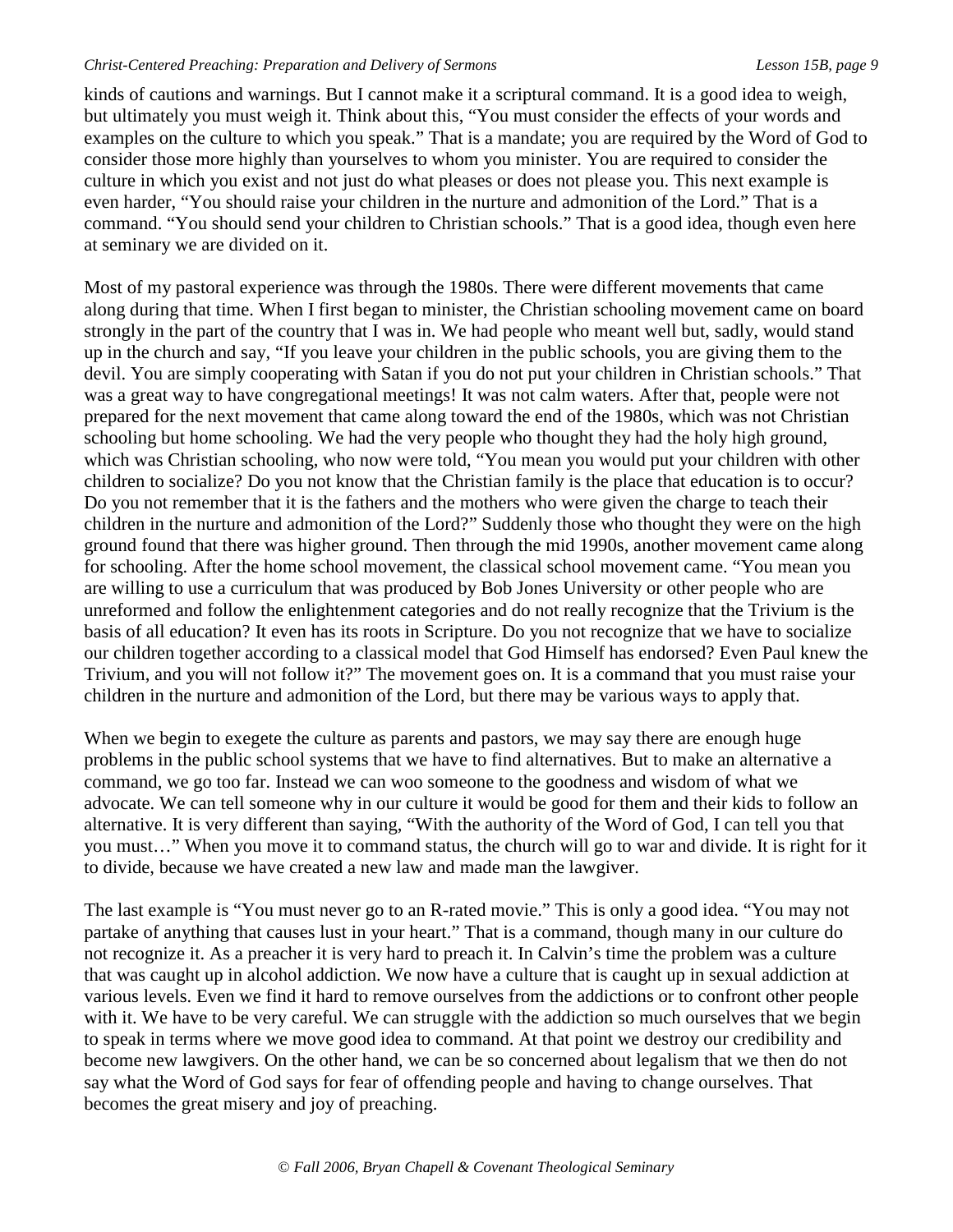kinds of cautions and warnings. But I cannot make it a scriptural command. It is a good idea to weigh, but ultimately you must weigh it. Think about this, "You must consider the effects of your words and examples on the culture to which you speak." That is a mandate; you are required by the Word of God to consider those more highly than yourselves to whom you minister. You are required to consider the culture in which you exist and not just do what pleases or does not please you. This next example is even harder, "You should raise your children in the nurture and admonition of the Lord." That is a command. "You should send your children to Christian schools." That is a good idea, though even here at seminary we are divided on it.

Most of my pastoral experience was through the 1980s. There were different movements that came along during that time. When I first began to minister, the Christian schooling movement came on board strongly in the part of the country that I was in. We had people who meant well but, sadly, would stand up in the church and say, "If you leave your children in the public schools, you are giving them to the devil. You are simply cooperating with Satan if you do not put your children in Christian schools." That was a great way to have congregational meetings! It was not calm waters. After that, people were not prepared for the next movement that came along toward the end of the 1980s, which was not Christian schooling but home schooling. We had the very people who thought they had the holy high ground, which was Christian schooling, who now were told, "You mean you would put your children with other children to socialize? Do you not know that the Christian family is the place that education is to occur? Do you not remember that it is the fathers and the mothers who were given the charge to teach their children in the nurture and admonition of the Lord?" Suddenly those who thought they were on the high ground found that there was higher ground. Then through the mid 1990s, another movement came along for schooling. After the home school movement, the classical school movement came. "You mean you are willing to use a curriculum that was produced by Bob Jones University or other people who are unreformed and follow the enlightenment categories and do not really recognize that the Trivium is the basis of all education? It even has its roots in Scripture. Do you not recognize that we have to socialize our children together according to a classical model that God Himself has endorsed? Even Paul knew the Trivium, and you will not follow it?" The movement goes on. It is a command that you must raise your children in the nurture and admonition of the Lord, but there may be various ways to apply that.

When we begin to exegete the culture as parents and pastors, we may say there are enough huge problems in the public school systems that we have to find alternatives. But to make an alternative a command, we go too far. Instead we can woo someone to the goodness and wisdom of what we advocate. We can tell someone why in our culture it would be good for them and their kids to follow an alternative. It is very different than saying, "With the authority of the Word of God, I can tell you that you must…" When you move it to command status, the church will go to war and divide. It is right for it to divide, because we have created a new law and made man the lawgiver.

The last example is "You must never go to an R-rated movie." This is only a good idea. "You may not partake of anything that causes lust in your heart." That is a command, though many in our culture do not recognize it. As a preacher it is very hard to preach it. In Calvin's time the problem was a culture that was caught up in alcohol addiction. We now have a culture that is caught up in sexual addiction at various levels. Even we find it hard to remove ourselves from the addictions or to confront other people with it. We have to be very careful. We can struggle with the addiction so much ourselves that we begin to speak in terms where we move good idea to command. At that point we destroy our credibility and become new lawgivers. On the other hand, we can be so concerned about legalism that we then do not say what the Word of God says for fear of offending people and having to change ourselves. That becomes the great misery and joy of preaching.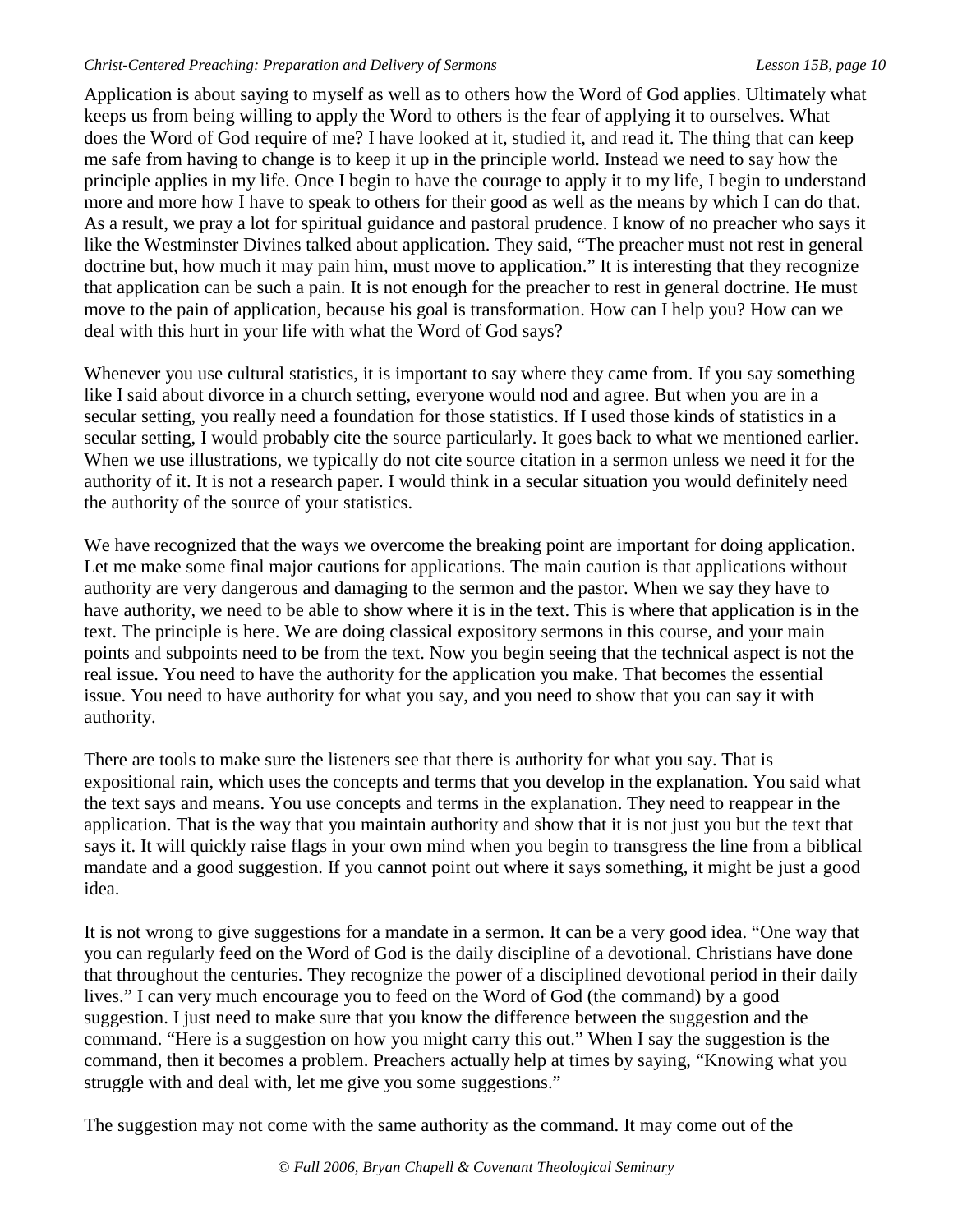Application is about saying to myself as well as to others how the Word of God applies. Ultimately what keeps us from being willing to apply the Word to others is the fear of applying it to ourselves. What does the Word of God require of me? I have looked at it, studied it, and read it. The thing that can keep me safe from having to change is to keep it up in the principle world. Instead we need to say how the principle applies in my life. Once I begin to have the courage to apply it to my life, I begin to understand more and more how I have to speak to others for their good as well as the means by which I can do that. As a result, we pray a lot for spiritual guidance and pastoral prudence. I know of no preacher who says it like the Westminster Divines talked about application. They said, "The preacher must not rest in general doctrine but, how much it may pain him, must move to application." It is interesting that they recognize that application can be such a pain. It is not enough for the preacher to rest in general doctrine. He must move to the pain of application, because his goal is transformation. How can I help you? How can we deal with this hurt in your life with what the Word of God says?

Whenever you use cultural statistics, it is important to say where they came from. If you say something like I said about divorce in a church setting, everyone would nod and agree. But when you are in a secular setting, you really need a foundation for those statistics. If I used those kinds of statistics in a secular setting, I would probably cite the source particularly. It goes back to what we mentioned earlier. When we use illustrations, we typically do not cite source citation in a sermon unless we need it for the authority of it. It is not a research paper. I would think in a secular situation you would definitely need the authority of the source of your statistics.

We have recognized that the ways we overcome the breaking point are important for doing application. Let me make some final major cautions for applications. The main caution is that applications without authority are very dangerous and damaging to the sermon and the pastor. When we say they have to have authority, we need to be able to show where it is in the text. This is where that application is in the text. The principle is here. We are doing classical expository sermons in this course, and your main points and subpoints need to be from the text. Now you begin seeing that the technical aspect is not the real issue. You need to have the authority for the application you make. That becomes the essential issue. You need to have authority for what you say, and you need to show that you can say it with authority.

There are tools to make sure the listeners see that there is authority for what you say. That is expositional rain, which uses the concepts and terms that you develop in the explanation. You said what the text says and means. You use concepts and terms in the explanation. They need to reappear in the application. That is the way that you maintain authority and show that it is not just you but the text that says it. It will quickly raise flags in your own mind when you begin to transgress the line from a biblical mandate and a good suggestion. If you cannot point out where it says something, it might be just a good idea.

It is not wrong to give suggestions for a mandate in a sermon. It can be a very good idea. "One way that you can regularly feed on the Word of God is the daily discipline of a devotional. Christians have done that throughout the centuries. They recognize the power of a disciplined devotional period in their daily lives." I can very much encourage you to feed on the Word of God (the command) by a good suggestion. I just need to make sure that you know the difference between the suggestion and the command. "Here is a suggestion on how you might carry this out." When I say the suggestion is the command, then it becomes a problem. Preachers actually help at times by saying, "Knowing what you struggle with and deal with, let me give you some suggestions."

The suggestion may not come with the same authority as the command. It may come out of the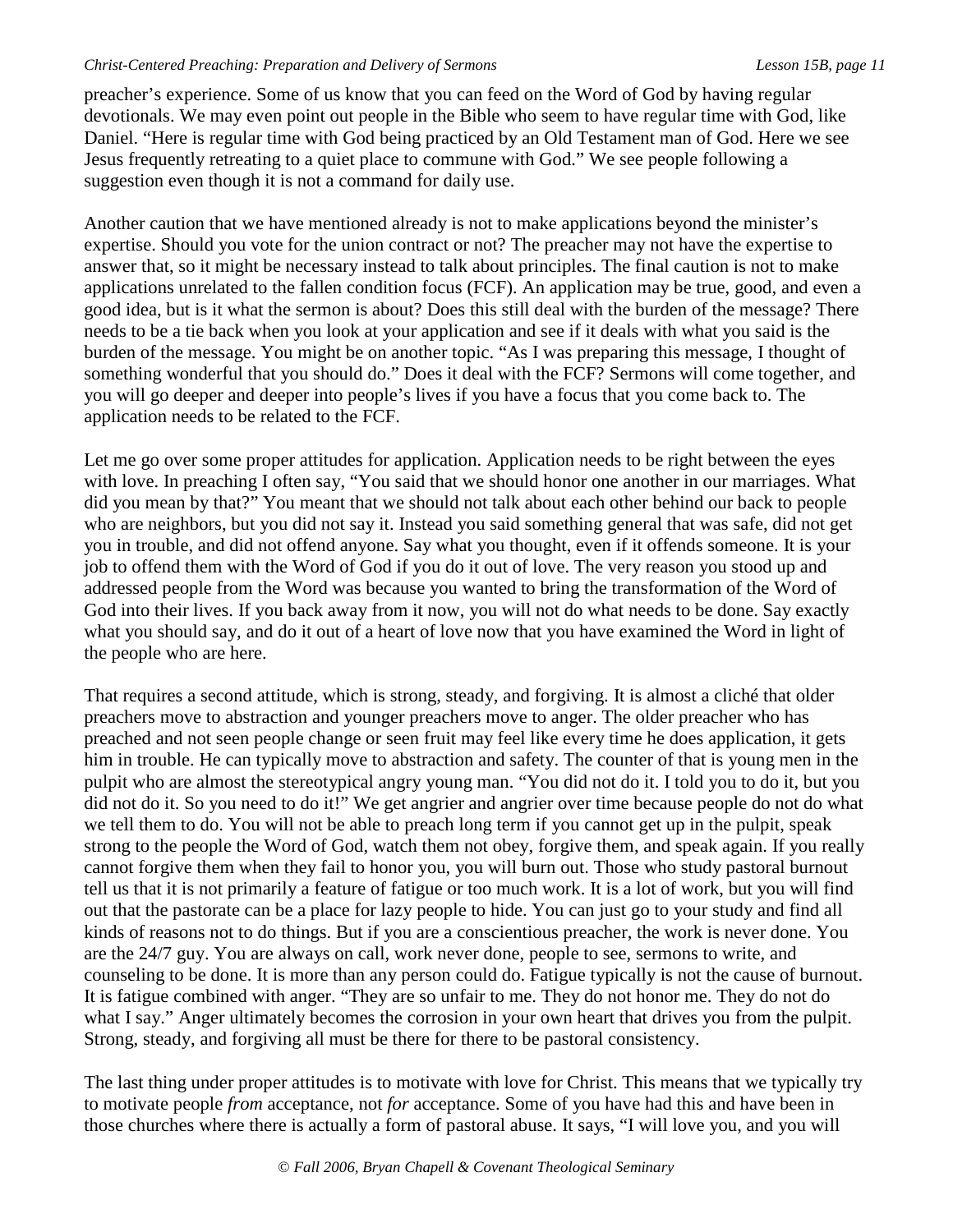preacher's experience. Some of us know that you can feed on the Word of God by having regular devotionals. We may even point out people in the Bible who seem to have regular time with God, like Daniel. "Here is regular time with God being practiced by an Old Testament man of God. Here we see Jesus frequently retreating to a quiet place to commune with God." We see people following a suggestion even though it is not a command for daily use.

Another caution that we have mentioned already is not to make applications beyond the minister's expertise. Should you vote for the union contract or not? The preacher may not have the expertise to answer that, so it might be necessary instead to talk about principles. The final caution is not to make applications unrelated to the fallen condition focus (FCF). An application may be true, good, and even a good idea, but is it what the sermon is about? Does this still deal with the burden of the message? There needs to be a tie back when you look at your application and see if it deals with what you said is the burden of the message. You might be on another topic. "As I was preparing this message, I thought of something wonderful that you should do." Does it deal with the FCF? Sermons will come together, and you will go deeper and deeper into people's lives if you have a focus that you come back to. The application needs to be related to the FCF.

Let me go over some proper attitudes for application. Application needs to be right between the eyes with love. In preaching I often say, "You said that we should honor one another in our marriages. What did you mean by that?" You meant that we should not talk about each other behind our back to people who are neighbors, but you did not say it. Instead you said something general that was safe, did not get you in trouble, and did not offend anyone. Say what you thought, even if it offends someone. It is your job to offend them with the Word of God if you do it out of love. The very reason you stood up and addressed people from the Word was because you wanted to bring the transformation of the Word of God into their lives. If you back away from it now, you will not do what needs to be done. Say exactly what you should say, and do it out of a heart of love now that you have examined the Word in light of the people who are here.

That requires a second attitude, which is strong, steady, and forgiving. It is almost a cliché that older preachers move to abstraction and younger preachers move to anger. The older preacher who has preached and not seen people change or seen fruit may feel like every time he does application, it gets him in trouble. He can typically move to abstraction and safety. The counter of that is young men in the pulpit who are almost the stereotypical angry young man. "You did not do it. I told you to do it, but you did not do it. So you need to do it!" We get angrier and angrier over time because people do not do what we tell them to do. You will not be able to preach long term if you cannot get up in the pulpit, speak strong to the people the Word of God, watch them not obey, forgive them, and speak again. If you really cannot forgive them when they fail to honor you, you will burn out. Those who study pastoral burnout tell us that it is not primarily a feature of fatigue or too much work. It is a lot of work, but you will find out that the pastorate can be a place for lazy people to hide. You can just go to your study and find all kinds of reasons not to do things. But if you are a conscientious preacher, the work is never done. You are the 24/7 guy. You are always on call, work never done, people to see, sermons to write, and counseling to be done. It is more than any person could do. Fatigue typically is not the cause of burnout. It is fatigue combined with anger. "They are so unfair to me. They do not honor me. They do not do what I say." Anger ultimately becomes the corrosion in your own heart that drives you from the pulpit. Strong, steady, and forgiving all must be there for there to be pastoral consistency.

The last thing under proper attitudes is to motivate with love for Christ. This means that we typically try to motivate people *from* acceptance, not *for* acceptance. Some of you have had this and have been in those churches where there is actually a form of pastoral abuse. It says, "I will love you, and you will